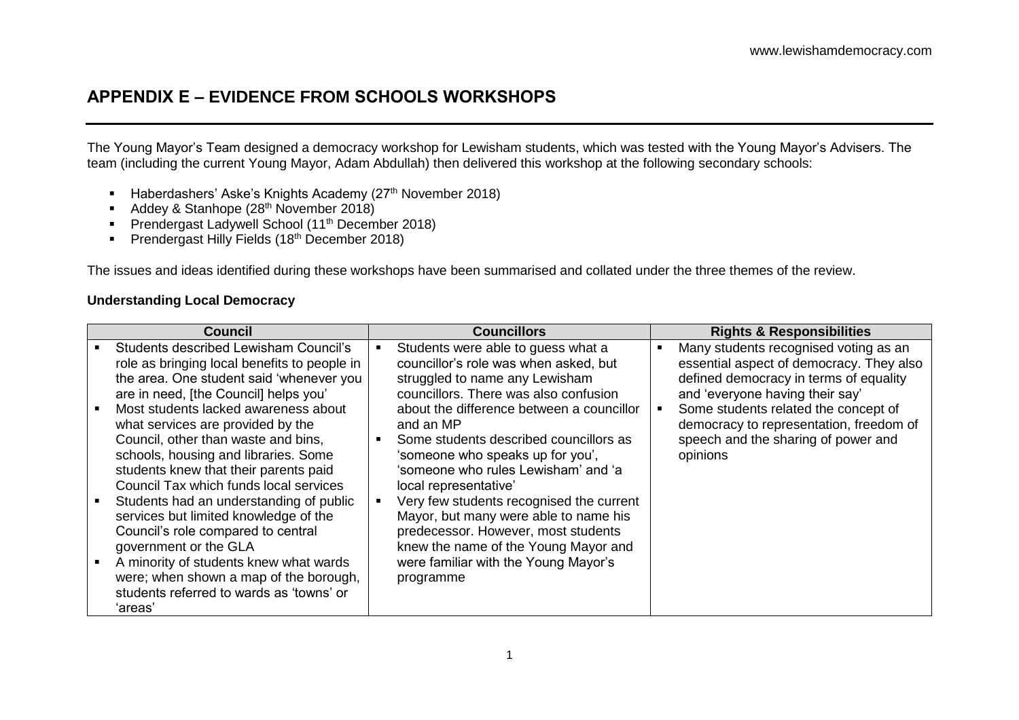## **APPENDIX E – EVIDENCE FROM SCHOOLS WORKSHOPS**

The Young Mayor's Team designed a democracy workshop for Lewisham students, which was tested with the Young Mayor's Advisers. The team (including the current Young Mayor, Adam Abdullah) then delivered this workshop at the following secondary schools:

- Haberdashers' Aske's Knights Academy (27<sup>th</sup> November 2018)
- Addey & Stanhope (28<sup>th</sup> November 2018)
- **Prendergast Ladywell School (11<sup>th</sup> December 2018)**
- **Prendergast Hilly Fields (18<sup>th</sup> December 2018)**

The issues and ideas identified during these workshops have been summarised and collated under the three themes of the review.

#### **Understanding Local Democracy**

| <b>Council</b> |                                                                                          | <b>Councillors</b> |                                                                         |  | <b>Rights &amp; Responsibilities</b>                                               |  |
|----------------|------------------------------------------------------------------------------------------|--------------------|-------------------------------------------------------------------------|--|------------------------------------------------------------------------------------|--|
|                | Students described Lewisham Council's                                                    |                    | Students were able to guess what a                                      |  | Many students recognised voting as an                                              |  |
|                | role as bringing local benefits to people in<br>the area. One student said 'whenever you |                    | councillor's role was when asked, but<br>struggled to name any Lewisham |  | essential aspect of democracy. They also<br>defined democracy in terms of equality |  |
|                | are in need, [the Council] helps you'                                                    |                    | councillors. There was also confusion                                   |  | and 'everyone having their say'                                                    |  |
|                | Most students lacked awareness about                                                     |                    | about the difference between a councillor                               |  | Some students related the concept of                                               |  |
|                | what services are provided by the                                                        |                    | and an MP                                                               |  | democracy to representation, freedom of                                            |  |
|                | Council, other than waste and bins,                                                      |                    | Some students described councillors as                                  |  | speech and the sharing of power and                                                |  |
|                | schools, housing and libraries. Some                                                     |                    | 'someone who speaks up for you',                                        |  | opinions                                                                           |  |
|                | students knew that their parents paid                                                    |                    | 'someone who rules Lewisham' and 'a                                     |  |                                                                                    |  |
|                | Council Tax which funds local services<br>Students had an understanding of public        |                    | local representative'<br>Very few students recognised the current       |  |                                                                                    |  |
|                | services but limited knowledge of the                                                    |                    | Mayor, but many were able to name his                                   |  |                                                                                    |  |
|                | Council's role compared to central                                                       |                    | predecessor. However, most students                                     |  |                                                                                    |  |
|                | government or the GLA                                                                    |                    | knew the name of the Young Mayor and                                    |  |                                                                                    |  |
|                | A minority of students knew what wards                                                   |                    | were familiar with the Young Mayor's                                    |  |                                                                                    |  |
|                | were; when shown a map of the borough,                                                   |                    | programme                                                               |  |                                                                                    |  |
|                | students referred to wards as 'towns' or                                                 |                    |                                                                         |  |                                                                                    |  |
|                | 'areas'                                                                                  |                    |                                                                         |  |                                                                                    |  |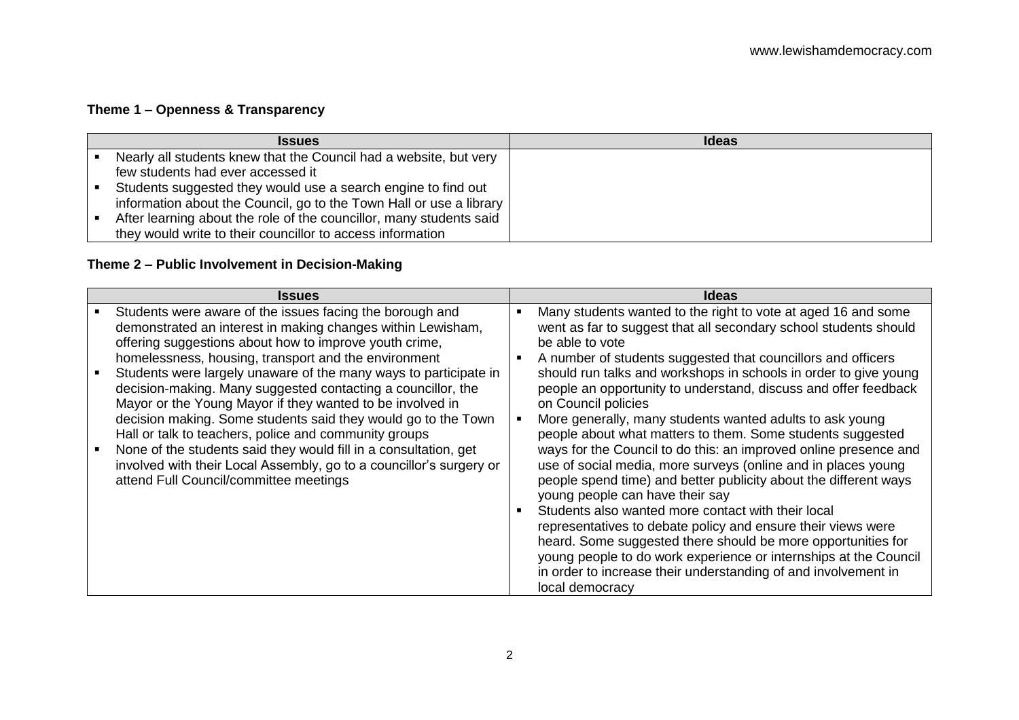# **Theme 1 – Openness & Transparency**

| <b>Issues</b>                                                       | <b>Ideas</b> |
|---------------------------------------------------------------------|--------------|
| Nearly all students knew that the Council had a website, but very   |              |
| few students had ever accessed it                                   |              |
| Students suggested they would use a search engine to find out       |              |
| information about the Council, go to the Town Hall or use a library |              |
| After learning about the role of the councillor, many students said |              |
| they would write to their councillor to access information          |              |

### **Theme 2 – Public Involvement in Decision-Making**

| <b>Issues</b>                                                                                                                                                                                                                                                  |   | <b>Ideas</b>                                                                                                                                                                                                                                                                                                                                                 |
|----------------------------------------------------------------------------------------------------------------------------------------------------------------------------------------------------------------------------------------------------------------|---|--------------------------------------------------------------------------------------------------------------------------------------------------------------------------------------------------------------------------------------------------------------------------------------------------------------------------------------------------------------|
| Students were aware of the issues facing the borough and<br>demonstrated an interest in making changes within Lewisham,<br>offering suggestions about how to improve youth crime,<br>homelessness, housing, transport and the environment                      | ٠ | Many students wanted to the right to vote at aged 16 and some<br>went as far to suggest that all secondary school students should<br>be able to vote<br>A number of students suggested that councillors and officers                                                                                                                                         |
| Students were largely unaware of the many ways to participate in<br>decision-making. Many suggested contacting a councillor, the<br>Mayor or the Young Mayor if they wanted to be involved in<br>decision making. Some students said they would go to the Town |   | should run talks and workshops in schools in order to give young<br>people an opportunity to understand, discuss and offer feedback<br>on Council policies<br>More generally, many students wanted adults to ask young                                                                                                                                       |
| Hall or talk to teachers, police and community groups<br>None of the students said they would fill in a consultation, get<br>involved with their Local Assembly, go to a councillor's surgery or<br>attend Full Council/committee meetings                     |   | people about what matters to them. Some students suggested<br>ways for the Council to do this: an improved online presence and<br>use of social media, more surveys (online and in places young<br>people spend time) and better publicity about the different ways<br>young people can have their say<br>Students also wanted more contact with their local |
|                                                                                                                                                                                                                                                                |   | representatives to debate policy and ensure their views were<br>heard. Some suggested there should be more opportunities for<br>young people to do work experience or internships at the Council<br>in order to increase their understanding of and involvement in<br>local democracy                                                                        |